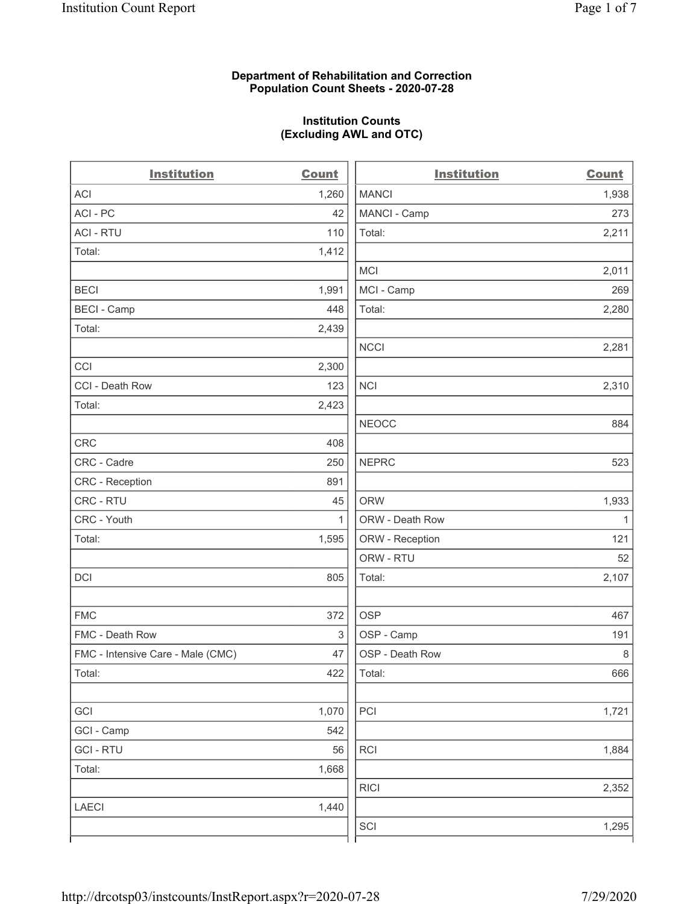#### **Department of Rehabilitation and Correction Population Count Sheets - 2020-07-28**

## **Institution Counts (Excluding AWL and OTC)**

 $\overline{a}$ 

| <b>ACI</b><br>1,260<br><b>MANCI</b><br>ACI-PC<br>MANCI - Camp<br>42<br><b>ACI - RTU</b><br>Total:<br>110 | 1,938<br>273<br>2,211 |
|----------------------------------------------------------------------------------------------------------|-----------------------|
|                                                                                                          |                       |
|                                                                                                          |                       |
|                                                                                                          |                       |
| Total:<br>1,412                                                                                          |                       |
| <b>MCI</b>                                                                                               | 2,011                 |
| MCI - Camp<br><b>BECI</b><br>1,991                                                                       | 269                   |
| <b>BECI - Camp</b><br>Total:<br>448                                                                      | 2,280                 |
| Total:<br>2,439                                                                                          |                       |
| <b>NCCI</b>                                                                                              | 2,281                 |
| CCI<br>2,300                                                                                             |                       |
| CCI - Death Row<br>123<br><b>NCI</b>                                                                     | 2,310                 |
| Total:<br>2,423                                                                                          |                       |
| <b>NEOCC</b>                                                                                             | 884                   |
| <b>CRC</b><br>408                                                                                        |                       |
| <b>NEPRC</b><br>CRC - Cadre<br>250                                                                       | 523                   |
| CRC - Reception<br>891                                                                                   |                       |
| CRC - RTU<br><b>ORW</b><br>45                                                                            | 1,933                 |
| CRC - Youth<br>ORW - Death Row<br>$\mathbf{1}$                                                           | $\mathbf{1}$          |
| Total:<br>1,595<br>ORW - Reception                                                                       | 121                   |
| ORW - RTU                                                                                                | 52                    |
| DCI<br>805<br>Total:                                                                                     | 2,107                 |
| <b>FMC</b><br>372<br><b>OSP</b>                                                                          | 467                   |
| FMC - Death Row<br>3<br>OSP - Camp                                                                       | 191                   |
| OSP - Death Row<br>FMC - Intensive Care - Male (CMC)<br>47                                               | 8                     |
| 422<br>Total:<br>Total:                                                                                  | 666                   |
| PCI<br>GCI<br>1,070                                                                                      | 1,721                 |
| GCI - Camp<br>542                                                                                        |                       |
| RCI<br><b>GCI-RTU</b><br>56                                                                              | 1,884                 |
| 1,668<br>Total:                                                                                          |                       |
| <b>RICI</b>                                                                                              | 2,352                 |
| 1,440<br><b>LAECI</b>                                                                                    |                       |
| SCI                                                                                                      | 1,295                 |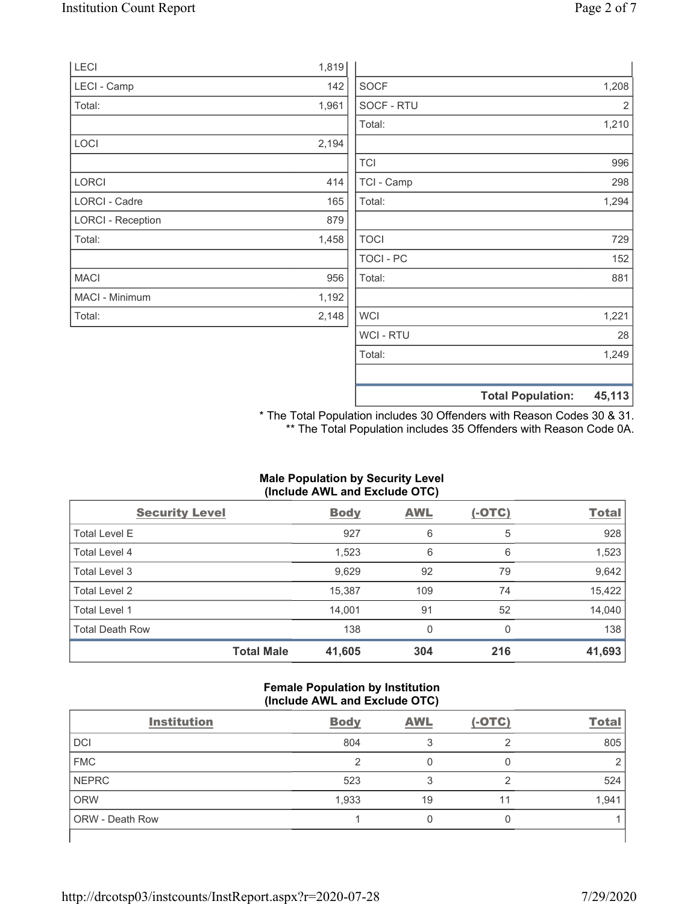|                          |       |                  | <b>Total Population:</b> | 45,113 |
|--------------------------|-------|------------------|--------------------------|--------|
|                          |       |                  |                          |        |
|                          |       | Total:           |                          | 1,249  |
|                          |       | WCI - RTU        |                          | 28     |
| Total:                   | 2,148 | <b>WCI</b>       |                          | 1,221  |
| MACI - Minimum           | 1,192 |                  |                          |        |
| <b>MACI</b>              | 956   | Total:           |                          | 881    |
|                          |       | <b>TOCI - PC</b> |                          | 152    |
| Total:                   | 1,458 | <b>TOCI</b>      |                          | 729    |
| <b>LORCI - Reception</b> | 879   |                  |                          |        |
| LORCI - Cadre            | 165   | Total:           |                          | 1,294  |
| <b>LORCI</b>             | 414   | TCI - Camp       |                          | 298    |
|                          |       | <b>TCI</b>       |                          | 996    |
| LOCI                     | 2,194 |                  |                          |        |
|                          |       | Total:           |                          | 1,210  |
| Total:                   | 1,961 | SOCF - RTU       |                          | 2      |
| LECI - Camp              | 142   | <b>SOCF</b>      |                          | 1,208  |
| LECI                     | 1,819 |                  |                          |        |

\* The Total Population includes 30 Offenders with Reason Codes 30 & 31. \*\* The Total Population includes 35 Offenders with Reason Code 0A.

## **Male Population by Security Level (Include AWL and Exclude OTC)**

| <b>Security Level</b>  |                   | <b>Body</b> | <b>AWL</b> | $(-OTC)$ | <b>Total</b> |
|------------------------|-------------------|-------------|------------|----------|--------------|
| <b>Total Level E</b>   |                   | 927         | 6          | 5        | 928          |
| Total Level 4          |                   | 1,523       | 6          | 6        | 1,523        |
| Total Level 3          |                   | 9,629       | 92         | 79       | 9,642        |
| Total Level 2          |                   | 15,387      | 109        | 74       | 15,422       |
| Total Level 1          |                   | 14,001      | 91         | 52       | 14,040       |
| <b>Total Death Row</b> |                   | 138         | 0          | $\Omega$ | 138          |
|                        | <b>Total Male</b> | 41,605      | 304        | 216      | 41,693       |

#### **Female Population by Institution (Include AWL and Exclude OTC)**

| <b>Institution</b> | <b>Body</b> | <b>AWL</b> | $(-OTC)$ | <b>Total</b> |
|--------------------|-------------|------------|----------|--------------|
| DCI                | 804         |            | ⌒        | 805          |
| <b>FMC</b>         | ⌒           |            |          |              |
| NEPRC              | 523         |            | っ        | 524          |
| <b>ORW</b>         | 1,933       | 19         | 11       | 1,941        |
| ORW - Death Row    |             |            |          |              |
|                    |             |            |          |              |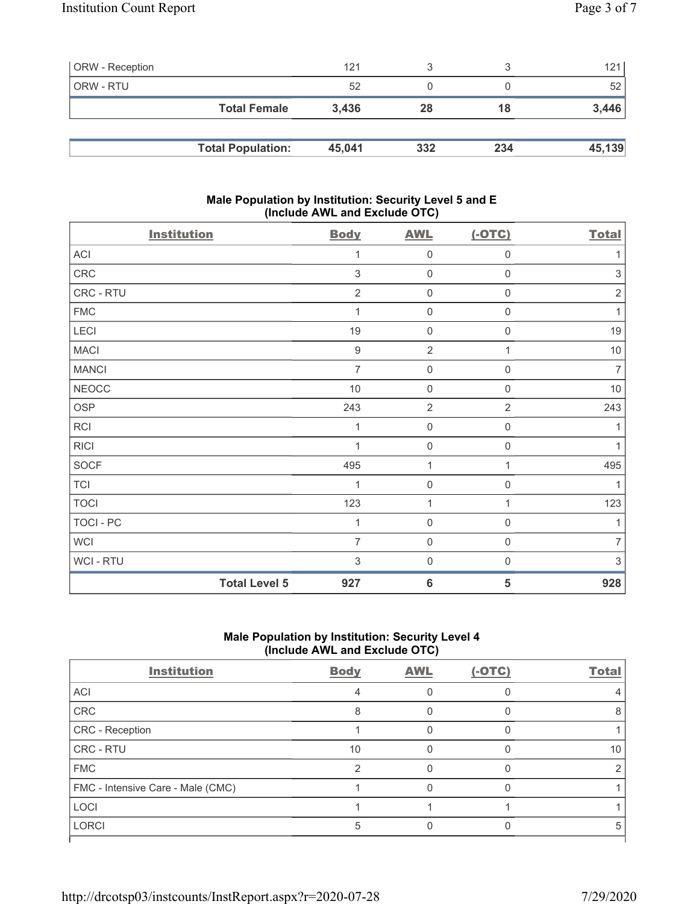| <b>ORW</b> - Reception |                          | 121    |     |     | 121    |
|------------------------|--------------------------|--------|-----|-----|--------|
| <b>ORW - RTU</b>       |                          | 52     |     |     | 52     |
|                        | <b>Total Female</b>      | 3.436  | 28  | 18  | 3,446  |
|                        |                          |        |     |     |        |
|                        | <b>Total Population:</b> | 45.041 | 332 | 234 | 45,139 |

## **Male Population by Institution: Security Level 5 and E (Include AWL and Exclude OTC)**

| <b>Institution</b> |                      | <b>Body</b>      | <b>AWL</b>          | $(-OTC)$            | <b>Total</b>   |
|--------------------|----------------------|------------------|---------------------|---------------------|----------------|
| ACI                |                      | 1                | $\mathsf{O}\xspace$ | $\mathbf 0$         | 1              |
| ${\sf CRC}$        |                      | 3                | $\mathbf 0$         | $\mathbf 0$         | $\sqrt{3}$     |
| CRC - RTU          |                      | $\overline{2}$   | $\mathsf{O}\xspace$ | $\mathsf{O}\xspace$ | $\sqrt{2}$     |
| <b>FMC</b>         |                      | 1                | $\mathsf{O}\xspace$ | 0                   | 1              |
| LECI               |                      | 19               | $\mathbf 0$         | 0                   | 19             |
| <b>MACI</b>        |                      | $\boldsymbol{9}$ | $\overline{2}$      | 1                   | $10$           |
| <b>MANCI</b>       |                      | $\overline{7}$   | $\mathsf{O}\xspace$ | 0                   | $\overline{7}$ |
| NEOCC              |                      | $10$             | $\mathbf 0$         | $\mathsf{O}\xspace$ | $10$           |
| <b>OSP</b>         |                      | 243              | $\overline{2}$      | $\overline{2}$      | 243            |
| RCI                |                      | 1                | $\mathbf 0$         | 0                   | 1              |
| <b>RICI</b>        |                      |                  | $\mathbf 0$         | 0                   | 1              |
| <b>SOCF</b>        |                      | 495              | 1                   | 1                   | 495            |
| <b>TCI</b>         |                      | 1                | $\mathsf{O}\xspace$ | 0                   |                |
| <b>TOCI</b>        |                      | 123              | 1                   | 1                   | 123            |
| TOCI - PC          |                      | 1                | $\mathbf 0$         | $\boldsymbol{0}$    | 1              |
| <b>WCI</b>         |                      | $\overline{7}$   | $\mathbf 0$         | $\mathbf 0$         | $\overline{7}$ |
| WCI - RTU          |                      | 3                | $\mathbf 0$         | 0                   | $\,$ 3 $\,$    |
|                    | <b>Total Level 5</b> | 927              | $6\phantom{1}6$     | 5                   | 928            |

# **Male Population by Institution: Security Level 4 (Include AWL and Exclude OTC)**

| <b>Institution</b>                | <b>Body</b> | <b>AWL</b> | (-OTC) | <b>Total</b> |
|-----------------------------------|-------------|------------|--------|--------------|
| ACI                               |             |            |        |              |
| CRC                               | 8           |            |        |              |
| CRC - Reception                   |             |            |        |              |
| CRC - RTU                         | 10          |            |        | 10           |
| <b>FMC</b>                        | っ           |            |        |              |
| FMC - Intensive Care - Male (CMC) |             |            |        |              |
| <b>LOCI</b>                       |             |            |        |              |
| <b>LORCI</b>                      | 5           |            |        | 5            |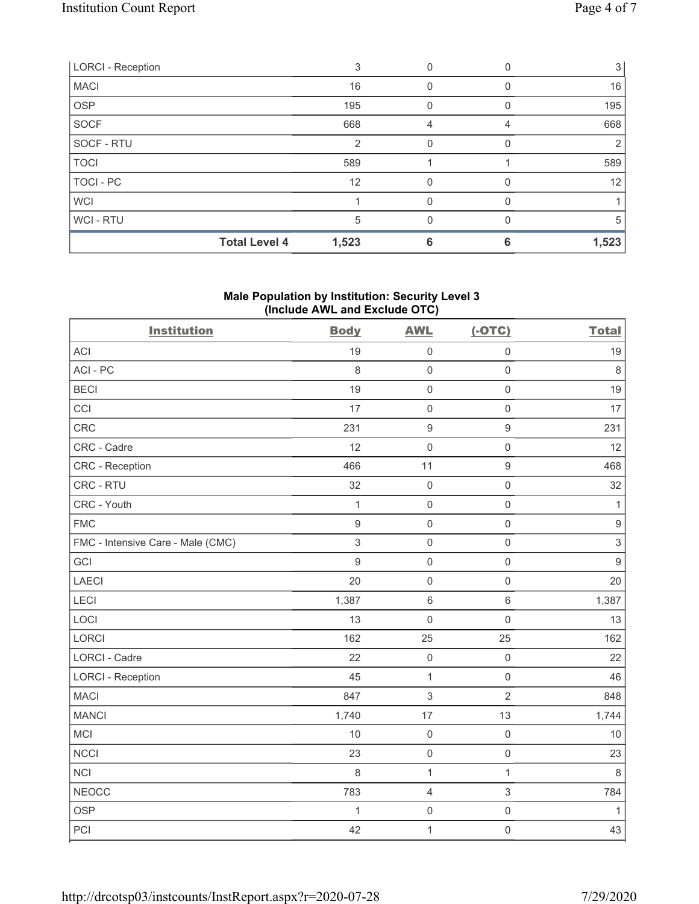| <b>LORCI - Reception</b> |                      |       |          |                  | $\mathbf{3}$ |
|--------------------------|----------------------|-------|----------|------------------|--------------|
| <b>MACI</b>              |                      | 16    | 0        | O                | 16           |
| <b>OSP</b>               |                      | 195   | $\Omega$ | $\left( \right)$ | 195          |
| <b>SOCF</b>              |                      | 668   | 4        |                  | 668          |
| SOCF - RTU               |                      | 2     | $\Omega$ | O                | 2            |
| <b>TOCI</b>              |                      | 589   |          |                  | 589          |
| TOCI - PC                |                      | 12    | 0        |                  | 12           |
| <b>WCI</b>               |                      |       | $\Omega$ |                  |              |
| WCI-RTU                  |                      | 5     | $\Omega$ | U                | 5            |
|                          | <b>Total Level 4</b> | 1,523 | 6        | 6                | 1,523        |

## **Male Population by Institution: Security Level 3 (Include AWL and Exclude OTC)**

| <b>Institution</b>                | <b>Body</b>      | <b>AWL</b>          | $(-OTC)$            | <b>Total</b>     |
|-----------------------------------|------------------|---------------------|---------------------|------------------|
| <b>ACI</b>                        | 19               | $\mathsf{O}\xspace$ | $\mathsf 0$         | 19               |
| ACI-PC                            | 8                | $\mathbf 0$         | $\mathsf 0$         | $\,8\,$          |
| <b>BECI</b>                       | 19               | $\mathbf 0$         | $\mathsf{O}\xspace$ | 19               |
| CCI                               | 17               | $\mathbf 0$         | $\mathbf 0$         | 17               |
| CRC                               | 231              | $\boldsymbol{9}$    | $\boldsymbol{9}$    | 231              |
| CRC - Cadre                       | 12               | $\mathbf 0$         | $\mathsf{O}\xspace$ | 12               |
| <b>CRC</b> - Reception            | 466              | 11                  | $\boldsymbol{9}$    | 468              |
| CRC - RTU                         | 32               | $\mathbf 0$         | $\mathsf{O}\xspace$ | 32               |
| CRC - Youth                       | $\mathbf{1}$     | $\mathbf 0$         | $\mathsf{O}\xspace$ | $\mathbf{1}$     |
| <b>FMC</b>                        | $\boldsymbol{9}$ | $\mathbf 0$         | $\mathbf 0$         | $\boldsymbol{9}$ |
| FMC - Intensive Care - Male (CMC) | 3                | $\mathbf 0$         | $\mathsf{O}\xspace$ | $\,$ 3 $\,$      |
| GCI                               | 9                | $\mathbf 0$         | $\mathsf{O}\xspace$ | $\boldsymbol{9}$ |
| <b>LAECI</b>                      | 20               | $\mathbf 0$         | $\mathsf{O}\xspace$ | 20               |
| LECI                              | 1,387            | $6\,$               | $\,6\,$             | 1,387            |
| LOCI                              | 13               | $\mathbf 0$         | $\mathsf{O}\xspace$ | 13               |
| LORCI                             | 162              | 25                  | 25                  | 162              |
| LORCI - Cadre                     | 22               | $\mathbf 0$         | $\mathsf{O}\xspace$ | 22               |
| <b>LORCI - Reception</b>          | 45               | $\mathbf{1}$        | $\mathsf{O}\xspace$ | 46               |
| <b>MACI</b>                       | 847              | $\,$ 3 $\,$         | $\overline{2}$      | 848              |
| <b>MANCI</b>                      | 1,740            | 17                  | 13                  | 1,744            |
| MCI                               | 10               | $\mathbf 0$         | $\mathsf{O}\xspace$ | $10$             |
| <b>NCCI</b>                       | 23               | $\mathbf 0$         | $\mathsf{O}\xspace$ | 23               |
| <b>NCI</b>                        | 8                | $\mathbf 1$         | $\mathbf{1}$        | 8                |
| <b>NEOCC</b>                      | 783              | $\overline{4}$      | $\,$ 3 $\,$         | 784              |
| <b>OSP</b>                        | 1                | $\mathbf 0$         | $\mathsf{O}\xspace$ | $\mathbf{1}$     |
| PCI                               | 42               | $\mathbf{1}$        | $\mathsf{O}\xspace$ | 43               |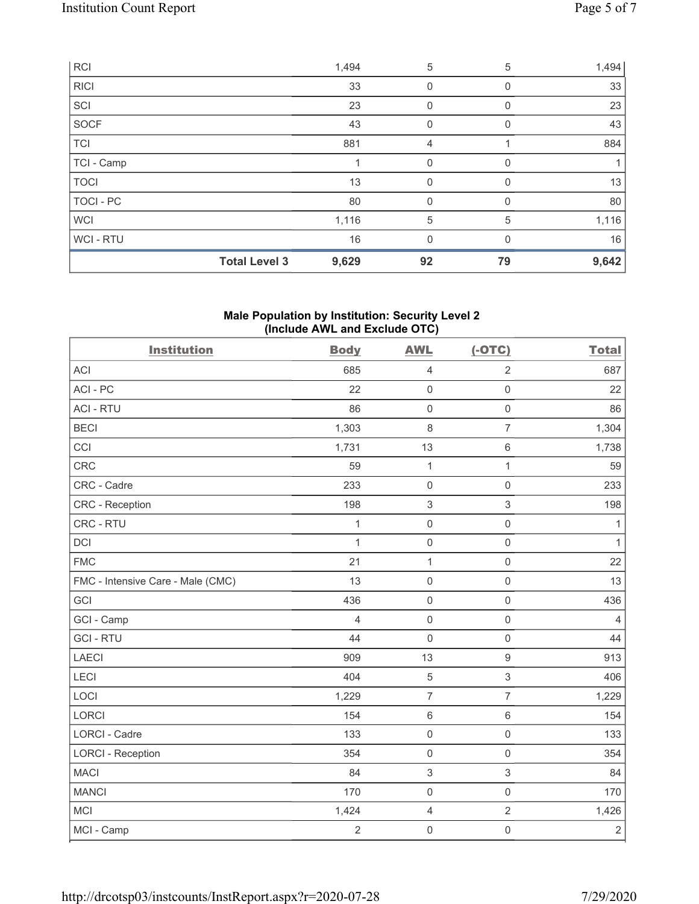| <b>RCI</b>  |                      | 1,494 | 5           | 5  | 1,494 |
|-------------|----------------------|-------|-------------|----|-------|
| <b>RICI</b> |                      | 33    | 0           | 0  | 33    |
| SCI         |                      | 23    | 0           | 0  | 23    |
| SOCF        |                      | 43    | 0           | 0  | 43    |
| <b>TCI</b>  |                      | 881   | 4           |    | 884   |
| TCI - Camp  |                      |       | $\mathbf 0$ | 0  |       |
| <b>TOCI</b> |                      | 13    | $\mathbf 0$ | 0  | 13    |
| TOCI - PC   |                      | 80    | 0           | 0  | 80    |
| <b>WCI</b>  |                      | 1,116 | 5           | 5  | 1,116 |
| WCI - RTU   |                      | 16    | 0           | 0  | 16    |
|             | <b>Total Level 3</b> | 9,629 | 92          | 79 | 9,642 |

## **Male Population by Institution: Security Level 2 (Include AWL and Exclude OTC)**

| <b>Institution</b>                | <b>Body</b>    | <b>AWL</b>          | $(-OTC)$                  | <b>Total</b>   |
|-----------------------------------|----------------|---------------------|---------------------------|----------------|
| <b>ACI</b>                        | 685            | $\overline{4}$      | $\overline{2}$            | 687            |
| ACI-PC                            | 22             | $\mathsf{O}\xspace$ | $\mathsf{O}\xspace$       | 22             |
| <b>ACI - RTU</b>                  | 86             | $\mathbf 0$         | $\mathbf 0$               | 86             |
| <b>BECI</b>                       | 1,303          | 8                   | $\overline{7}$            | 1,304          |
| CCI                               | 1,731          | 13                  | $\,6\,$                   | 1,738          |
| CRC                               | 59             | $\mathbf{1}$        | $\mathbf{1}$              | 59             |
| CRC - Cadre                       | 233            | $\mathbf 0$         | $\mathsf{O}\xspace$       | 233            |
| CRC - Reception                   | 198            | 3                   | $\sqrt{3}$                | 198            |
| CRC - RTU                         | $\mathbf{1}$   | $\mathbf 0$         | $\mathsf{O}\xspace$       | $\mathbf{1}$   |
| <b>DCI</b>                        | $\mathbf{1}$   | $\mathbf 0$         | $\mathbf 0$               | $\mathbf{1}$   |
| <b>FMC</b>                        | 21             | 1                   | $\mathsf{O}\xspace$       | 22             |
| FMC - Intensive Care - Male (CMC) | 13             | $\mathbf 0$         | $\mathsf{O}\xspace$       | 13             |
| GCI                               | 436            | $\mathsf{O}\xspace$ | $\mathsf{O}\xspace$       | 436            |
| GCI - Camp                        | $\overline{4}$ | $\mathbf 0$         | $\mathsf 0$               | $\overline{4}$ |
| <b>GCI-RTU</b>                    | 44             | $\mathbf 0$         | $\mathbf 0$               | 44             |
| <b>LAECI</b>                      | 909            | 13                  | $\boldsymbol{9}$          | 913            |
| LECI                              | 404            | $\overline{5}$      | $\ensuremath{\mathsf{3}}$ | 406            |
| LOCI                              | 1,229          | $\overline{7}$      | $\overline{7}$            | 1,229          |
| <b>LORCI</b>                      | 154            | $\,6\,$             | $6\,$                     | 154            |
| <b>LORCI - Cadre</b>              | 133            | $\mathsf{O}\xspace$ | $\mathsf{O}\xspace$       | 133            |
| <b>LORCI - Reception</b>          | 354            | $\mathsf{O}\xspace$ | $\mathsf{O}\xspace$       | 354            |
| <b>MACI</b>                       | 84             | $\sqrt{3}$          | $\sqrt{3}$                | 84             |
| <b>MANCI</b>                      | 170            | $\mathbf 0$         | $\mathsf{O}\xspace$       | 170            |
| <b>MCI</b>                        | 1,424          | $\overline{4}$      | $\overline{2}$            | 1,426          |
| MCI - Camp                        | $\overline{2}$ | $\mathsf{O}\xspace$ | $\mathbf 0$               | $\sqrt{2}$     |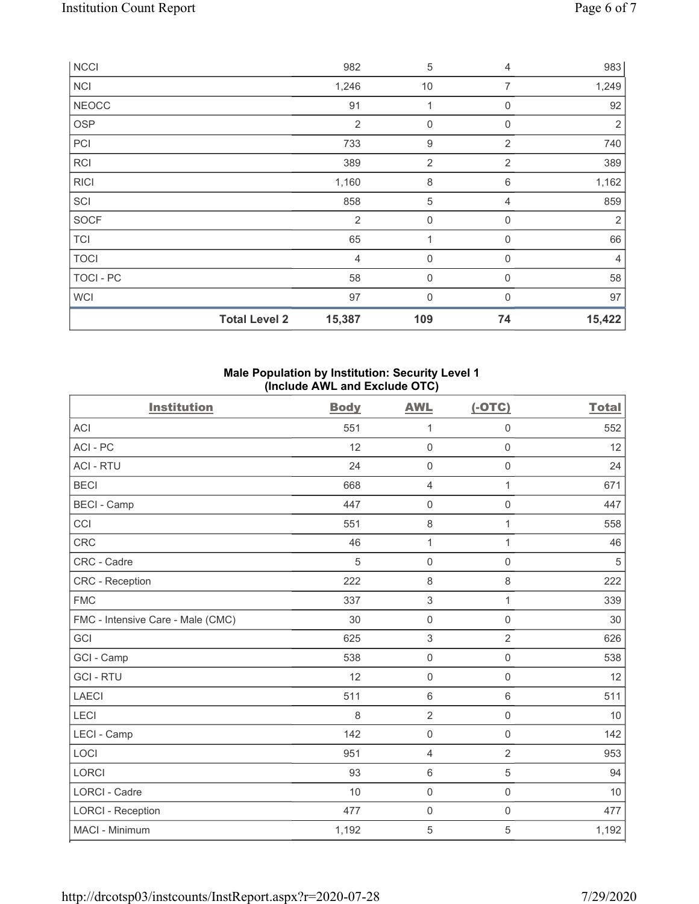| <b>NCCI</b>  |                      | 982            | $\sqrt{5}$     | 4              | 983            |
|--------------|----------------------|----------------|----------------|----------------|----------------|
| <b>NCI</b>   |                      | 1,246          | 10             | $\overline{7}$ | 1,249          |
| <b>NEOCC</b> |                      | 91             | 1              | 0              | 92             |
| <b>OSP</b>   |                      | $\overline{2}$ | 0              | 0              | 2              |
| PCI          |                      | 733            | 9              | $\overline{2}$ | 740            |
| <b>RCI</b>   |                      | 389            | $\overline{2}$ | $\overline{2}$ | 389            |
| <b>RICI</b>  |                      | 1,160          | 8              | 6              | 1,162          |
| SCI          |                      | 858            | 5              | 4              | 859            |
| <b>SOCF</b>  |                      | $\overline{2}$ | $\mathbf 0$    | 0              | $\overline{2}$ |
| <b>TCI</b>   |                      | 65             | 1              | 0              | 66             |
| <b>TOCI</b>  |                      | $\overline{4}$ | $\mathbf 0$    | $\mathbf 0$    | 4              |
| TOCI - PC    |                      | 58             | $\mathbf 0$    | 0              | 58             |
| <b>WCI</b>   |                      | 97             | 0              | $\Omega$       | 97             |
|              | <b>Total Level 2</b> | 15,387         | 109            | 74             | 15,422         |

## **Male Population by Institution: Security Level 1 (Include AWL and Exclude OTC)**

| <b>Institution</b>                | <b>Body</b> | <b>AWL</b>          | $(-OTC)$            | <b>Total</b> |
|-----------------------------------|-------------|---------------------|---------------------|--------------|
| <b>ACI</b>                        | 551         | 1                   | $\mathsf 0$         | 552          |
| ACI-PC                            | 12          | $\mathsf{O}\xspace$ | $\mathbf 0$         | 12           |
| <b>ACI - RTU</b>                  | 24          | $\mathsf{O}\xspace$ | $\mathsf{O}\xspace$ | 24           |
| <b>BECI</b>                       | 668         | $\overline{4}$      | 1                   | 671          |
| <b>BECI - Camp</b>                | 447         | $\mathbf 0$         | 0                   | 447          |
| CCI                               | 551         | $\,8\,$             | 1                   | 558          |
| <b>CRC</b>                        | 46          | 1                   | 1                   | 46           |
| CRC - Cadre                       | 5           | $\mathsf{O}\xspace$ | $\mathsf{O}\xspace$ | $\sqrt{5}$   |
| <b>CRC</b> - Reception            | 222         | $\,8\,$             | 8                   | 222          |
| <b>FMC</b>                        | 337         | $\,$ 3 $\,$         | $\mathbf{1}$        | 339          |
| FMC - Intensive Care - Male (CMC) | 30          | $\mathsf{O}\xspace$ | $\mathbf 0$         | 30           |
| GCI                               | 625         | $\,$ 3 $\,$         | $\overline{2}$      | 626          |
| GCI - Camp                        | 538         | $\mathsf{O}\xspace$ | $\mathsf 0$         | 538          |
| <b>GCI-RTU</b>                    | 12          | $\mathsf{O}\xspace$ | $\mathsf 0$         | 12           |
| <b>LAECI</b>                      | 511         | $\,6\,$             | $\,6\,$             | 511          |
| LECI                              | 8           | $\overline{2}$      | $\mathsf{O}\xspace$ | 10           |
| LECI - Camp                       | 142         | $\mathsf{O}\xspace$ | $\mathsf 0$         | 142          |
| LOCI                              | 951         | $\overline{4}$      | $\overline{2}$      | 953          |
| <b>LORCI</b>                      | 93          | $\,6\,$             | 5                   | 94           |
| LORCI - Cadre                     | 10          | $\mathsf{O}\xspace$ | $\mathsf{O}\xspace$ | 10           |
| <b>LORCI - Reception</b>          | 477         | $\mathsf{O}\xspace$ | $\mathsf{O}\xspace$ | 477          |
| MACI - Minimum                    | 1,192       | $\mathbf 5$         | 5                   | 1,192        |